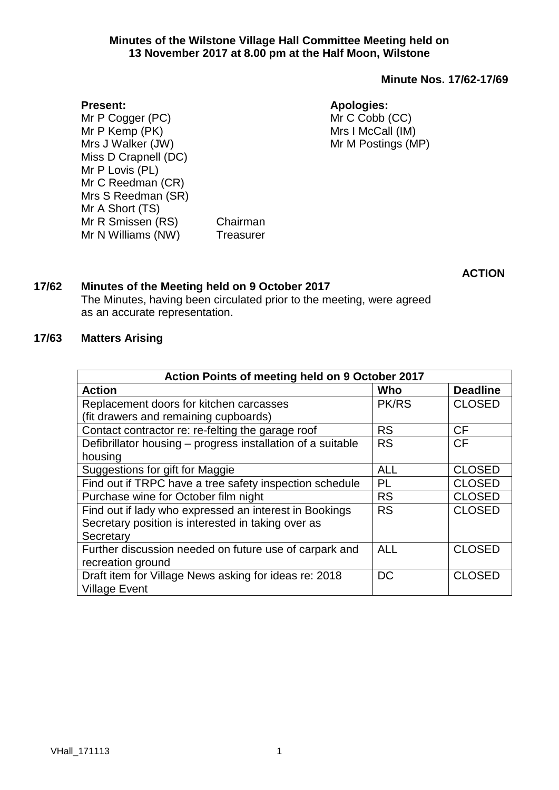### **Minute Nos. 17/62-17/69**

#### **Present:**

Mr P Cogger (PC) Mr P Kemp (PK) Mrs J Walker (JW) Miss D Crapnell (DC) Mr P Lovis (PL) Mr C Reedman (CR) Mrs S Reedman (SR) Mr A Short (TS) Mr R Smissen (RS) Chairman Mr N Williams (NW) Treasurer

# **Apologies:** Mr C Cobb (CC)

Mrs I McCall (IM) Mr M Postings (MP)

**ACTION**

## **17/62 Minutes of the Meeting held on 9 October 2017**

The Minutes, having been circulated prior to the meeting, were agreed as an accurate representation.

#### **17/63 Matters Arising**

| Action Points of meeting held on 9 October 2017             |              |                 |  |  |
|-------------------------------------------------------------|--------------|-----------------|--|--|
| <b>Action</b>                                               | Who          | <b>Deadline</b> |  |  |
| Replacement doors for kitchen carcasses                     | <b>PK/RS</b> | <b>CLOSED</b>   |  |  |
| (fit drawers and remaining cupboards)                       |              |                 |  |  |
| Contact contractor re: re-felting the garage roof           | <b>RS</b>    | <b>CF</b>       |  |  |
| Defibrillator housing – progress installation of a suitable | <b>RS</b>    | <b>CF</b>       |  |  |
| housing                                                     |              |                 |  |  |
| Suggestions for gift for Maggie                             | <b>ALL</b>   | <b>CLOSED</b>   |  |  |
| Find out if TRPC have a tree safety inspection schedule     | PL           | <b>CLOSED</b>   |  |  |
| Purchase wine for October film night                        | <b>RS</b>    | <b>CLOSED</b>   |  |  |
| Find out if lady who expressed an interest in Bookings      | <b>RS</b>    | <b>CLOSED</b>   |  |  |
| Secretary position is interested in taking over as          |              |                 |  |  |
| Secretary                                                   |              |                 |  |  |
| Further discussion needed on future use of carpark and      | <b>ALL</b>   | <b>CLOSED</b>   |  |  |
| recreation ground                                           |              |                 |  |  |
| Draft item for Village News asking for ideas re: 2018       | <b>DC</b>    | <b>CLOSED</b>   |  |  |
| <b>Village Event</b>                                        |              |                 |  |  |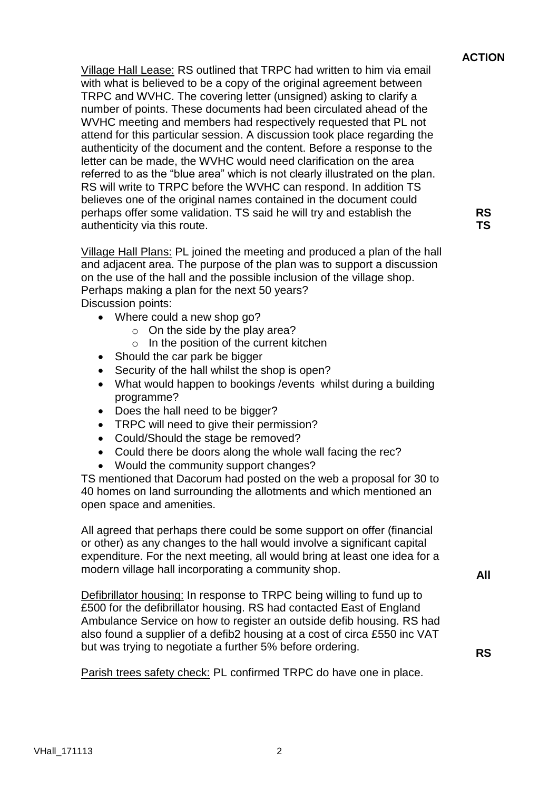## **ACTION**

**RS TS**

Village Hall Lease: RS outlined that TRPC had written to him via email with what is believed to be a copy of the original agreement between TRPC and WVHC. The covering letter (unsigned) asking to clarify a number of points. These documents had been circulated ahead of the WVHC meeting and members had respectively requested that PL not attend for this particular session. A discussion took place regarding the authenticity of the document and the content. Before a response to the letter can be made, the WVHC would need clarification on the area referred to as the "blue area" which is not clearly illustrated on the plan. RS will write to TRPC before the WVHC can respond. In addition TS believes one of the original names contained in the document could perhaps offer some validation. TS said he will try and establish the authenticity via this route.

Village Hall Plans: PL joined the meeting and produced a plan of the hall and adjacent area. The purpose of the plan was to support a discussion on the use of the hall and the possible inclusion of the village shop. Perhaps making a plan for the next 50 years? Discussion points:

- Where could a new shop go?
	- $\circ$  On the side by the play area?
	- o In the position of the current kitchen
- Should the car park be bigger
- Security of the hall whilst the shop is open?
- What would happen to bookings /events whilst during a building programme?
- Does the hall need to be bigger?
- TRPC will need to give their permission?
- Could/Should the stage be removed?
- Could there be doors along the whole wall facing the rec?
- Would the community support changes?

TS mentioned that Dacorum had posted on the web a proposal for 30 to 40 homes on land surrounding the allotments and which mentioned an open space and amenities.

All agreed that perhaps there could be some support on offer (financial or other) as any changes to the hall would involve a significant capital expenditure. For the next meeting, all would bring at least one idea for a modern village hall incorporating a community shop.

**All**

**RS**

Defibrillator housing: In response to TRPC being willing to fund up to £500 for the defibrillator housing. RS had contacted East of England Ambulance Service on how to register an outside defib housing. RS had also found a supplier of a defib2 housing at a cost of circa £550 inc VAT but was trying to negotiate a further 5% before ordering.

Parish trees safety check: PL confirmed TRPC do have one in place.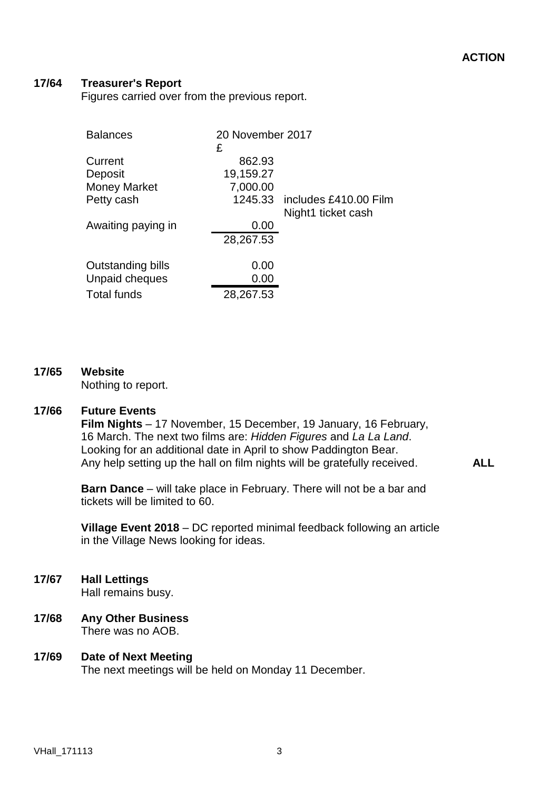**ALL**

#### **17/64 Treasurer's Report**

Figures carried over from the previous report.

| <b>Balances</b>     | 20 November 2017<br>£ |                               |
|---------------------|-----------------------|-------------------------------|
| Current             | 862.93                |                               |
| Deposit             | 19,159.27             |                               |
| <b>Money Market</b> | 7,000.00              |                               |
| Petty cash          |                       | 1245.33 includes £410.00 Film |
|                     |                       | Night1 ticket cash            |
| Awaiting paying in  | 0.00                  |                               |
|                     | 28,267.53             |                               |
| Outstanding bills   | 0.00                  |                               |
| Unpaid cheques      | 0.00                  |                               |
| <b>Total funds</b>  | 28,267.53             |                               |

### **17/65 Website**

Nothing to report.

### **17/66 Future Events**

**Film Nights** – 17 November, 15 December, 19 January, 16 February, 16 March. The next two films are: *Hidden Figures* and *La La Land*. Looking for an additional date in April to show Paddington Bear. Any help setting up the hall on film nights will be gratefully received.

**Barn Dance** – will take place in February. There will not be a bar and tickets will be limited to 60.

**Village Event 2018** – DC reported minimal feedback following an article in the Village News looking for ideas.

- **17/67 Hall Lettings** Hall remains busy.
- **17/68 Any Other Business** There was no AOB.

### **17/69 Date of Next Meeting** The next meetings will be held on Monday 11 December.